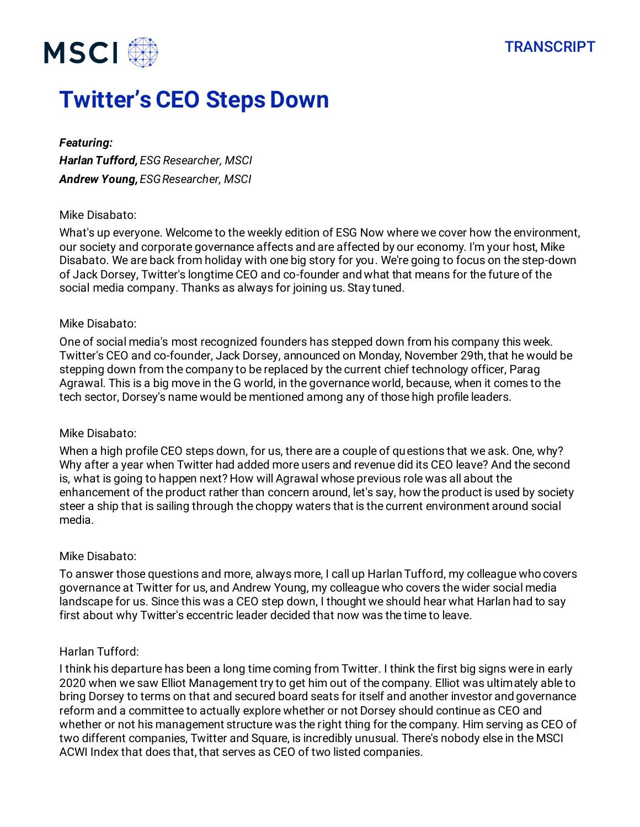# **TRANSCRIPT**



# **Twitter's CEO Steps Down**

*Featuring: Harlan Tufford, ESG Researcher, MSCI Andrew Young, ESG Researcher, MSCI*

### Mike Disabato:

What's up everyone. Welcome to the weekly edition of ESG Now where we cover how the environment, our society and corporate governance affects and are affected by our economy. I'm your host, Mike Disabato. We are back from holiday with one big story for you. We're going to focus on the step-down of Jack Dorsey, Twitter's longtime CEO and co-founder and what that means for the future of the social media company. Thanks as always for joining us. Stay tuned.

#### Mike Disabato:

One of social media's most recognized founders has stepped down from his company this week. Twitter's CEO and co-founder, Jack Dorsey, announced on Monday, November 29th, that he would be stepping down from the company to be replaced by the current chief technology officer, Parag Agrawal. This is a big move in the G world, in the governance world, because, when it comes to the tech sector, Dorsey's name would be mentioned among any of those high profile leaders.

#### Mike Disabato:

When a high profile CEO steps down, for us, there are a couple of questions that we ask. One, why? Why after a year when Twitter had added more users and revenue did its CEO leave? And the second is, what is going to happen next? How will Agrawal whose previous role was all about the enhancement of the product rather than concern around, let's say, how the product is used by society steer a ship that is sailing through the choppy waters that is the current environment around social media.

# Mike Disabato:

To answer those questions and more, always more, I call up Harlan Tufford, my colleague who covers governance at Twitter for us, and Andrew Young, my colleague who covers the wider social media landscape for us. Since this was a CEO step down, I thought we should hear what Harlan had to say first about why Twitter's eccentric leader decided that now was the time to leave.

# Harlan Tufford:

I think his departure has been a long time coming from Twitter. I think the first big signs were in early 2020 when we saw Elliot Management try to get him out of the company. Elliot was ultimately able to bring Dorsey to terms on that and secured board seats for itself and another investor and governance reform and a committee to actually explore whether or not Dorsey should continue as CEO and whether or not his management structure was the right thing for the company. Him serving as CEO of two different companies, Twitter and Square, is incredibly unusual. There's nobody else in the MSCI ACWI Index that does that, that serves as CEO of two listed companies.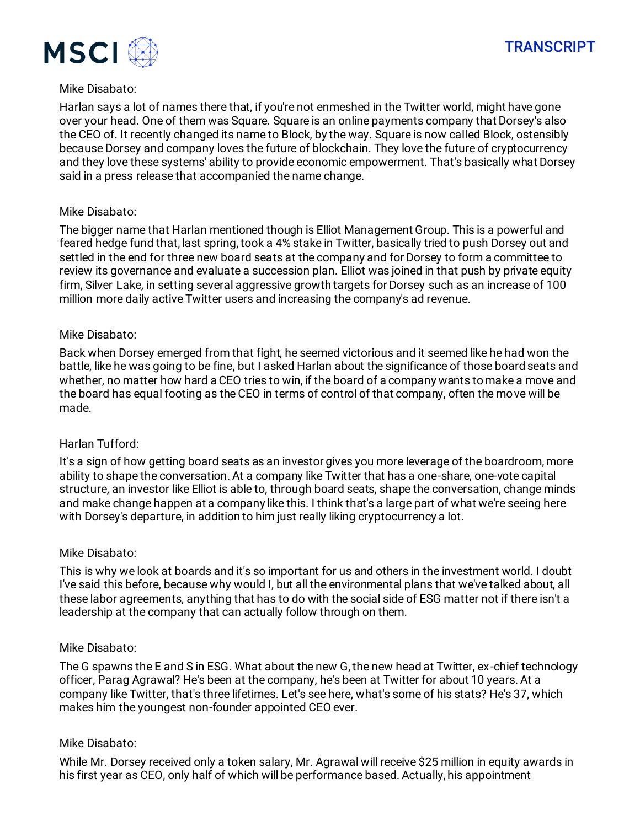

### Mike Disabato:

Harlan says a lot of names there that, if you're not enmeshed in the Twitter world, might have gone over your head. One of them was Square. Square is an online payments company that Dorsey's also the CEO of. It recently changed its name to Block, by the way. Square is now called Block, ostensibly because Dorsey and company loves the future of blockchain. They love the future of cryptocurrency and they love these systems' ability to provide economic empowerment. That's basically what Dorsey said in a press release that accompanied the name change.

# Mike Disabato:

The bigger name that Harlan mentioned though is Elliot Management Group. This is a powerful and feared hedge fund that, last spring, took a 4% stake in Twitter, basically tried to push Dorsey out and settled in the end for three new board seats at the company and for Dorsey to form a committee to review its governance and evaluate a succession plan. Elliot was joined in that push by private equity firm, Silver Lake, in setting several aggressive growth targets for Dorsey such as an increase of 100 million more daily active Twitter users and increasing the company's ad revenue.

### Mike Disabato:

Back when Dorsey emerged from that fight, he seemed victorious and it seemed like he had won the battle, like he was going to be fine, but I asked Harlan about the significance of those board seats and whether, no matter how hard a CEO tries to win, if the board of a company wants to make a move and the board has equal footing as the CEO in terms of control of that company, often the move will be made.

# Harlan Tufford:

It's a sign of how getting board seats as an investor gives you more leverage of the boardroom, more ability to shape the conversation. At a company like Twitter that has a one-share, one-vote capital structure, an investor like Elliot is able to, through board seats, shape the conversation, change minds and make change happen at a company like this. I think that's a large part of what we're seeing here with Dorsey's departure, in addition to him just really liking cryptocurrency a lot.

#### Mike Disabato:

This is why we look at boards and it's so important for us and others in the investment world. I doubt I've said this before, because why would I, but all the environmental plans that we've talked about, all these labor agreements, anything that has to do with the social side of ESG matter not if there isn't a leadership at the company that can actually follow through on them.

#### Mike Disabato:

The G spawns the E and S in ESG. What about the new G, the new head at Twitter, ex-chief technology officer, Parag Agrawal? He's been at the company, he's been at Twitter for about 10 years. At a company like Twitter, that's three lifetimes. Let's see here, what's some of his stats? He's 37, which makes him the youngest non-founder appointed CEO ever.

#### Mike Disabato:

While Mr. Dorsey received only a token salary, Mr. Agrawal will receive \$25 million in equity awards in his first year as CEO, only half of which will be performance based. Actually, his appointment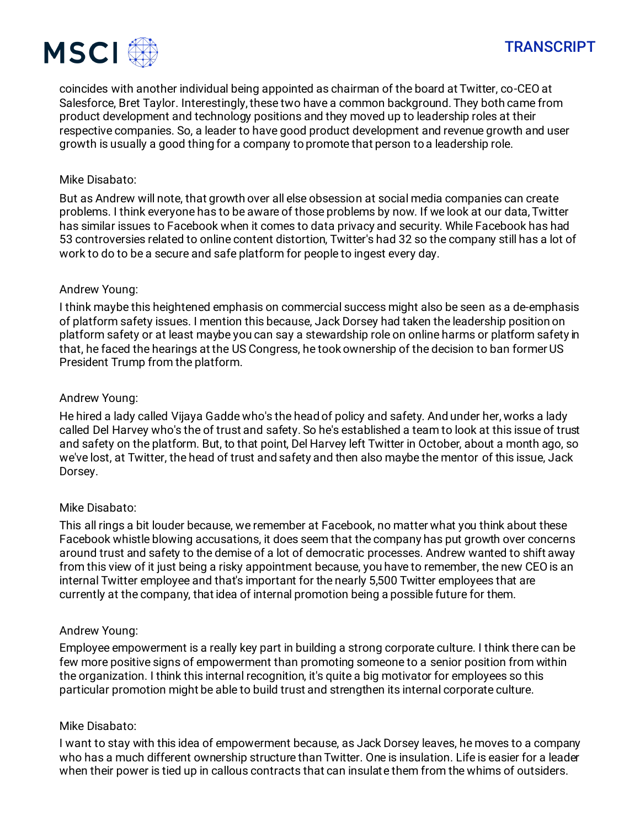

coincides with another individual being appointed as chairman of the board at Twitter, co-CEO at Salesforce, Bret Taylor. Interestingly, these two have a common background. They both came from product development and technology positions and they moved up to leadership roles at their respective companies. So, a leader to have good product development and revenue growth and user growth is usually a good thing for a company to promote that person to a leadership role.

#### Mike Disabato:

But as Andrew will note, that growth over all else obsession at social media companies can create problems. I think everyone has to be aware of those problems by now. If we look at our data, Twitter has similar issues to Facebook when it comes to data privacy and security. While Facebook has had 53 controversies related to online content distortion, Twitter's had 32 so the company still has a lot of work to do to be a secure and safe platform for people to ingest every day.

### Andrew Young:

I think maybe this heightened emphasis on commercial success might also be seen as a de-emphasis of platform safety issues. I mention this because, Jack Dorsey had taken the leadership position on platform safety or at least maybe you can say a stewardship role on online harms or platform safety in that, he faced the hearings at the US Congress, he took ownership of the decision to ban former US President Trump from the platform.

### Andrew Young:

He hired a lady called Vijaya Gadde who's the head of policy and safety. And under her, works a lady called Del Harvey who's the of trust and safety. So he's established a team to look at this issue of trust and safety on the platform. But, to that point, Del Harvey left Twitter in October, about a month ago, so we've lost, at Twitter, the head of trust and safety and then also maybe the mentor of this issue, Jack Dorsey.

# Mike Disabato:

This all rings a bit louder because, we remember at Facebook, no matter what you think about these Facebook whistle blowing accusations, it does seem that the company has put growth over concerns around trust and safety to the demise of a lot of democratic processes. Andrew wanted to shift away from this view of it just being a risky appointment because, you have to remember, the new CEO is an internal Twitter employee and that's important for the nearly 5,500 Twitter employees that are currently at the company, that idea of internal promotion being a possible future for them.

#### Andrew Young:

Employee empowerment is a really key part in building a strong corporate culture. I think there can be few more positive signs of empowerment than promoting someone to a senior position from within the organization. I think this internal recognition, it's quite a big motivator for employees so this particular promotion might be able to build trust and strengthen its internal corporate culture.

# Mike Disabato:

I want to stay with this idea of empowerment because, as Jack Dorsey leaves, he moves to a company who has a much different ownership structure than Twitter. One is insulation. Life is easier for a leader when their power is tied up in callous contracts that can insulate them from the whims of outsiders.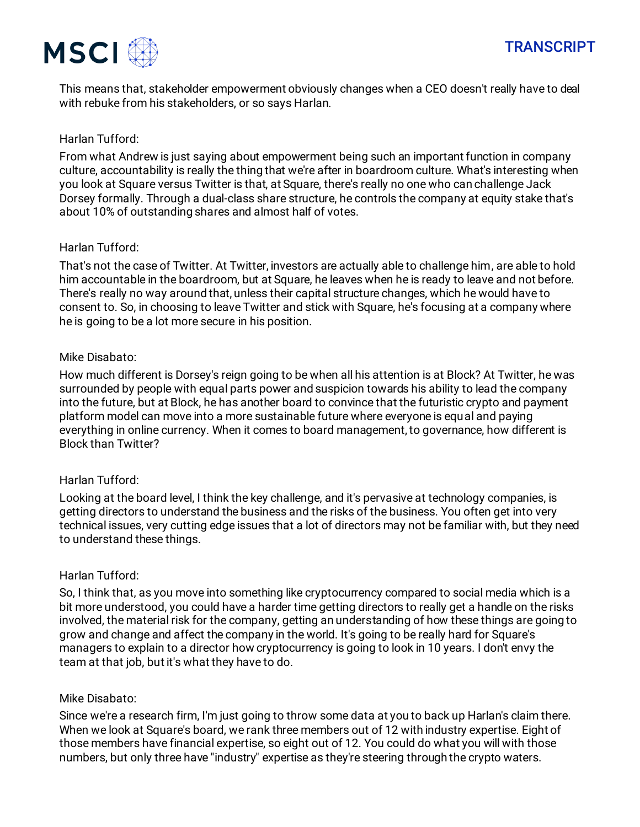

This means that, stakeholder empowerment obviously changes when a CEO doesn't really have to deal with rebuke from his stakeholders, or so says Harlan.

# Harlan Tufford:

From what Andrew is just saying about empowerment being such an important function in company culture, accountability is really the thing that we're after in boardroom culture. What's interesting when you look at Square versus Twitter is that, at Square, there's really no one who can challenge Jack Dorsey formally. Through a dual-class share structure, he controls the company at equity stake that's about 10% of outstanding shares and almost half of votes.

### Harlan Tufford:

That's not the case of Twitter. At Twitter, investors are actually able to challenge him, are able to hold him accountable in the boardroom, but at Square, he leaves when he is ready to leave and not before. There's really no way around that, unless their capital structure changes, which he would have to consent to. So, in choosing to leave Twitter and stick with Square, he's focusing at a company where he is going to be a lot more secure in his position.

### Mike Disabato:

How much different is Dorsey's reign going to be when all his attention is at Block? At Twitter, he was surrounded by people with equal parts power and suspicion towards his ability to lead the company into the future, but at Block, he has another board to convince that the futuristic crypto and payment platform model can move into a more sustainable future where everyone is equal and paying everything in online currency. When it comes to board management, to governance, how different is Block than Twitter?

# Harlan Tufford:

Looking at the board level, I think the key challenge, and it's pervasive at technology companies, is getting directors to understand the business and the risks of the business. You often get into very technical issues, very cutting edge issues that a lot of directors may not be familiar with, but they need to understand these things.

# Harlan Tufford:

So, I think that, as you move into something like cryptocurrency compared to social media which is a bit more understood, you could have a harder time getting directors to really get a handle on the risks involved, the material risk for the company, getting an understanding of how these things are going to grow and change and affect the company in the world. It's going to be really hard for Square's managers to explain to a director how cryptocurrency is going to look in 10 years. I don't envy the team at that job, but it's what they have to do.

#### Mike Disabato:

Since we're a research firm, I'm just going to throw some data at you to back up Harlan's claim there. When we look at Square's board, we rank three members out of 12 with industry expertise. Eight of those members have financial expertise, so eight out of 12. You could do what you will with those numbers, but only three have "industry" expertise as they're steering through the crypto waters.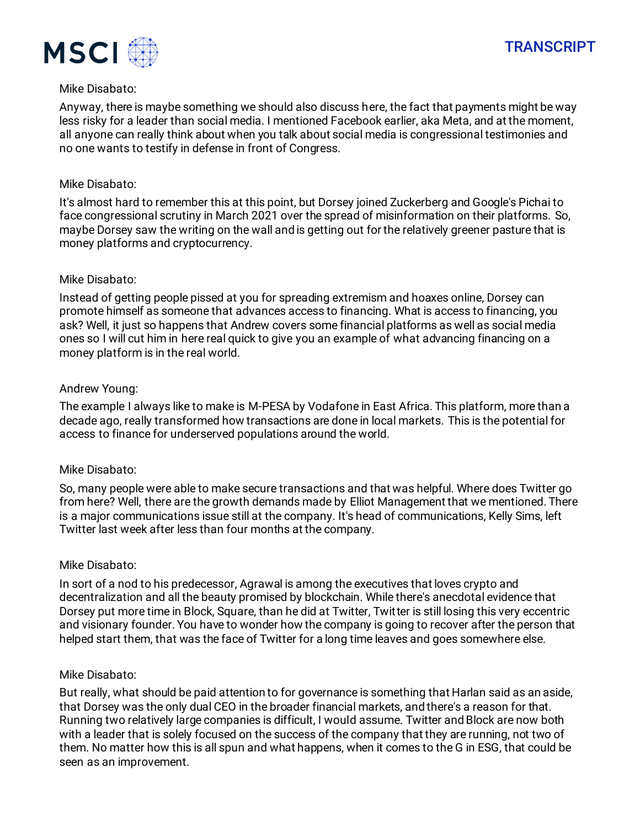

### Mike Disabato:

Anyway, there is maybe something we should also discuss here, the fact that payments might be way less risky for a leader than social media. I mentioned Facebook earlier, aka Meta, and at the moment, all anyone can really think about when you talk about social media is congressional testimonies and no one wants to testify in defense in front of Congress.

### Mike Disabato:

It's almost hard to remember this at this point, but Dorsey joined Zuckerberg and Google's Pichai to face congressional scrutiny in March 2021 over the spread of misinformation on their platforms. So, maybe Dorsey saw the writing on the wall and is getting out for the relatively greener pasture that is money platforms and cryptocurrency.

### Mike Disabato:

Instead of getting people pissed at you for spreading extremism and hoaxes online, Dorsey can promote himself as someone that advances access to financing. What is access to financing, you ask? Well, it just so happens that Andrew covers some financial platforms as well as social media ones so I will cut him in here real quick to give you an example of what advancing financing on a money platform is in the real world.

### Andrew Young:

The example I always like to make is M-PESA by Vodafone in East Africa. This platform, more than a decade ago, really transformed how transactions are done in local markets. This is the potential for access to finance for underserved populations around the world.

#### Mike Disabato:

So, many people were able to make secure transactions and that was helpful. Where does Twitter go from here? Well, there are the growth demands made by Elliot Management that we mentioned. There is a major communications issue still at the company. It's head of communications, Kelly Sims, left Twitter last week after less than four months at the company.

#### Mike Disabato:

In sort of a nod to his predecessor, Agrawal is among the executives that loves crypto and decentralization and all the beauty promised by blockchain. While there's anecdotal evidence that Dorsey put more time in Block, Square, than he did at Twitter, Twitter is still losing this very eccentric and visionary founder. You have to wonder how the company is going to recover after the person that helped start them, that was the face of Twitter for a long time leaves and goes somewhere else.

# Mike Disabato:

But really, what should be paid attention to for governance is something that Harlan said as an aside, that Dorsey was the only dual CEO in the broader financial markets, and there's a reason for that. Running two relatively large companies is difficult, I would assume. Twitter and Block are now both with a leader that is solely focused on the success of the company that they are running, not two of them. No matter how this is all spun and what happens, when it comes to the G in ESG, that could be seen as an improvement.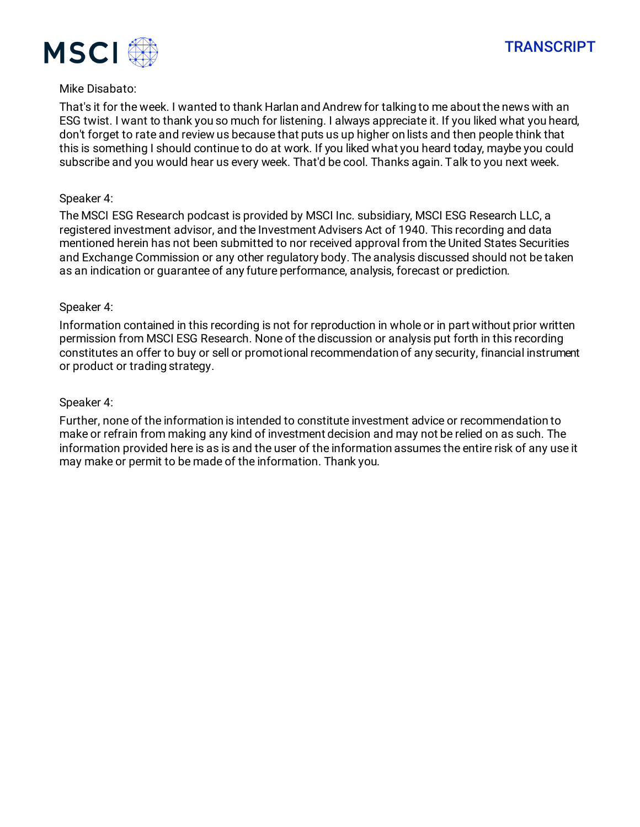

### Mike Disabato:

That's it for the week. I wanted to thank Harlan and Andrew for talking to me about the news with an ESG twist. I want to thank you so much for listening. I always appreciate it. If you liked what you heard, don't forget to rate and review us because that puts us up higher on lists and then people think that this is something I should continue to do at work. If you liked what you heard today, maybe you could subscribe and you would hear us every week. That'd be cool. Thanks again. Talk to you next week.

### Speaker 4:

The MSCI ESG Research podcast is provided by MSCI Inc. subsidiary, MSCI ESG Research LLC, a registered investment advisor, and the Investment Advisers Act of 1940. This recording and data mentioned herein has not been submitted to nor received approval from the United States Securities and Exchange Commission or any other regulatory body. The analysis discussed should not be taken as an indication or guarantee of any future performance, analysis, forecast or prediction.

### Speaker 4:

Information contained in this recording is not for reproduction in whole or in part without prior written permission from MSCI ESG Research. None of the discussion or analysis put forth in this recording constitutes an offer to buy or sell or promotional recommendation of any security, financial instrument or product or trading strategy.

### Speaker 4:

Further, none of the information is intended to constitute investment advice or recommendation to make or refrain from making any kind of investment decision and may not be relied on as such. The information provided here is as is and the user of the information assumes the entire risk of any use it may make or permit to be made of the information. Thank you.